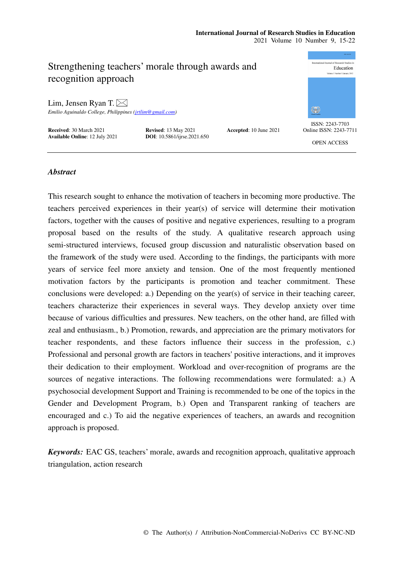# **International Journal of Research Studies in Education**

2021 Volume 10 Number 9, 15-22



# *Abstract*

This research sought to enhance the motivation of teachers in becoming more productive. The teachers perceived experiences in their year(s) of service will determine their motivation factors, together with the causes of positive and negative experiences, resulting to a program proposal based on the results of the study. A qualitative research approach using semi-structured interviews, focused group discussion and naturalistic observation based on the framework of the study were used. According to the findings, the participants with more years of service feel more anxiety and tension. One of the most frequently mentioned motivation factors by the participants is promotion and teacher commitment. These conclusions were developed: a.) Depending on the year(s) of service in their teaching career, teachers characterize their experiences in several ways. They develop anxiety over time because of various difficulties and pressures. New teachers, on the other hand, are filled with zeal and enthusiasm., b.) Promotion, rewards, and appreciation are the primary motivators for teacher respondents, and these factors influence their success in the profession, c.) Professional and personal growth are factors in teachers' positive interactions, and it improves their dedication to their employment. Workload and over-recognition of programs are the sources of negative interactions. The following recommendations were formulated: a.) A psychosocial development Support and Training is recommended to be one of the topics in the Gender and Development Program, b.) Open and Transparent ranking of teachers are encouraged and c.) To aid the negative experiences of teachers, an awards and recognition approach is proposed.

*Keywords:* EAC GS, teachers' morale, awards and recognition approach, qualitative approach triangulation, action research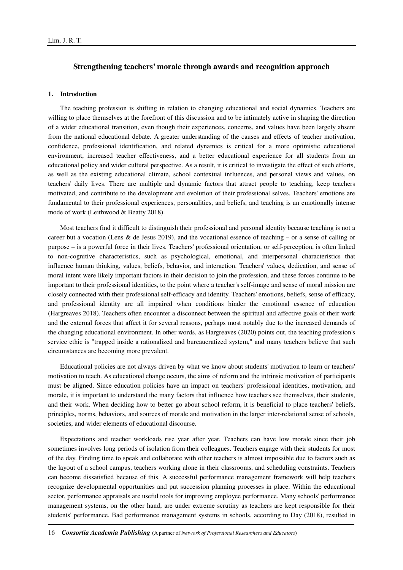# **Strengthening teachers' morale through awards and recognition approach**

# **1. Introduction**

The teaching profession is shifting in relation to changing educational and social dynamics. Teachers are willing to place themselves at the forefront of this discussion and to be intimately active in shaping the direction of a wider educational transition, even though their experiences, concerns, and values have been largely absent from the national educational debate. A greater understanding of the causes and effects of teacher motivation, confidence, professional identification, and related dynamics is critical for a more optimistic educational environment, increased teacher effectiveness, and a better educational experience for all students from an educational policy and wider cultural perspective. As a result, it is critical to investigate the effect of such efforts, as well as the existing educational climate, school contextual influences, and personal views and values, on teachers' daily lives. There are multiple and dynamic factors that attract people to teaching, keep teachers motivated, and contribute to the development and evolution of their professional selves. Teachers' emotions are fundamental to their professional experiences, personalities, and beliefs, and teaching is an emotionally intense mode of work (Leithwood & Beatty 2018).

Most teachers find it difficult to distinguish their professional and personal identity because teaching is not a career but a vocation (Lens & de Jesus 2019), and the vocational essence of teaching – or a sense of calling or purpose – is a powerful force in their lives. Teachers' professional orientation, or self-perception, is often linked to non-cognitive characteristics, such as psychological, emotional, and interpersonal characteristics that influence human thinking, values, beliefs, behavior, and interaction. Teachers' values, dedication, and sense of moral intent were likely important factors in their decision to join the profession, and these forces continue to be important to their professional identities, to the point where a teacher's self-image and sense of moral mission are closely connected with their professional self-efficacy and identity. Teachers' emotions, beliefs, sense of efficacy, and professional identity are all impaired when conditions hinder the emotional essence of education (Hargreaves 2018). Teachers often encounter a disconnect between the spiritual and affective goals of their work and the external forces that affect it for several reasons, perhaps most notably due to the increased demands of the changing educational environment. In other words, as Hargreaves (2020) points out, the teaching profession's service ethic is "trapped inside a rationalized and bureaucratized system," and many teachers believe that such circumstances are becoming more prevalent.

Educational policies are not always driven by what we know about students' motivation to learn or teachers' motivation to teach. As educational change occurs, the aims of reform and the intrinsic motivation of participants must be aligned. Since education policies have an impact on teachers' professional identities, motivation, and morale, it is important to understand the many factors that influence how teachers see themselves, their students, and their work. When deciding how to better go about school reform, it is beneficial to place teachers' beliefs, principles, norms, behaviors, and sources of morale and motivation in the larger inter-relational sense of schools, societies, and wider elements of educational discourse.

Expectations and teacher workloads rise year after year. Teachers can have low morale since their job sometimes involves long periods of isolation from their colleagues. Teachers engage with their students for most of the day. Finding time to speak and collaborate with other teachers is almost impossible due to factors such as the layout of a school campus, teachers working alone in their classrooms, and scheduling constraints. Teachers can become dissatisfied because of this. A successful performance management framework will help teachers recognize developmental opportunities and put succession planning processes in place. Within the educational sector, performance appraisals are useful tools for improving employee performance. Many schools' performance management systems, on the other hand, are under extreme scrutiny as teachers are kept responsible for their students' performance. Bad performance management systems in schools, according to Day (2018), resulted in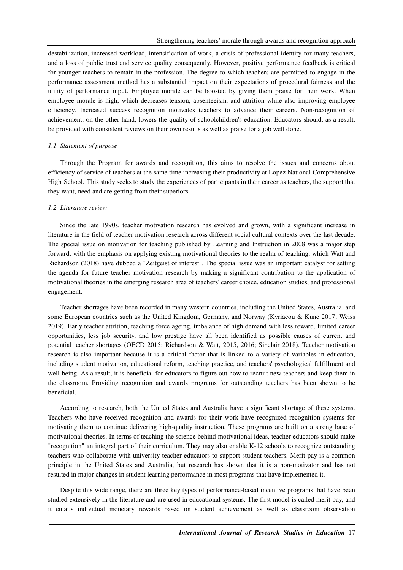destabilization, increased workload, intensification of work, a crisis of professional identity for many teachers, and a loss of public trust and service quality consequently. However, positive performance feedback is critical for younger teachers to remain in the profession. The degree to which teachers are permitted to engage in the performance assessment method has a substantial impact on their expectations of procedural fairness and the utility of performance input. Employee morale can be boosted by giving them praise for their work. When employee morale is high, which decreases tension, absenteeism, and attrition while also improving employee efficiency. Increased success recognition motivates teachers to advance their careers. Non-recognition of achievement, on the other hand, lowers the quality of schoolchildren's education. Educators should, as a result, be provided with consistent reviews on their own results as well as praise for a job well done.

### *1.1 Statement of purpose*

Through the Program for awards and recognition, this aims to resolve the issues and concerns about efficiency of service of teachers at the same time increasing their productivity at Lopez National Comprehensive High School. This study seeks to study the experiences of participants in their career as teachers, the support that they want, need and are getting from their superiors.

## *1.2 Literature review*

Since the late 1990s, teacher motivation research has evolved and grown, with a significant increase in literature in the field of teacher motivation research across different social cultural contexts over the last decade. The special issue on motivation for teaching published by Learning and Instruction in 2008 was a major step forward, with the emphasis on applying existing motivational theories to the realm of teaching, which Watt and Richardson (2018) have dubbed a "Zeitgeist of interest". The special issue was an important catalyst for setting the agenda for future teacher motivation research by making a significant contribution to the application of motivational theories in the emerging research area of teachers' career choice, education studies, and professional engagement.

Teacher shortages have been recorded in many western countries, including the United States, Australia, and some European countries such as the United Kingdom, Germany, and Norway (Kyriacou & Kunc 2017; Weiss 2019). Early teacher attrition, teaching force ageing, imbalance of high demand with less reward, limited career opportunities, less job security, and low prestige have all been identified as possible causes of current and potential teacher shortages (OECD 2015; Richardson & Watt, 2015, 2016; Sinclair 2018). Teacher motivation research is also important because it is a critical factor that is linked to a variety of variables in education, including student motivation, educational reform, teaching practice, and teachers' psychological fulfillment and well-being. As a result, it is beneficial for educators to figure out how to recruit new teachers and keep them in the classroom. Providing recognition and awards programs for outstanding teachers has been shown to be beneficial.

According to research, both the United States and Australia have a significant shortage of these systems. Teachers who have received recognition and awards for their work have recognized recognition systems for motivating them to continue delivering high-quality instruction. These programs are built on a strong base of motivational theories. In terms of teaching the science behind motivational ideas, teacher educators should make "recognition" an integral part of their curriculum. They may also enable K-12 schools to recognize outstanding teachers who collaborate with university teacher educators to support student teachers. Merit pay is a common principle in the United States and Australia, but research has shown that it is a non-motivator and has not resulted in major changes in student learning performance in most programs that have implemented it.

Despite this wide range, there are three key types of performance-based incentive programs that have been studied extensively in the literature and are used in educational systems. The first model is called merit pay, and it entails individual monetary rewards based on student achievement as well as classroom observation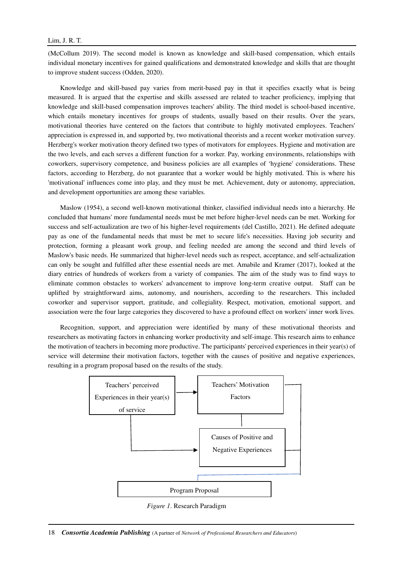# Lim, J. R. T.

(McCollum 2019). The second model is known as knowledge and skill-based compensation, which entails individual monetary incentives for gained qualifications and demonstrated knowledge and skills that are thought to improve student success (Odden, 2020).

Knowledge and skill-based pay varies from merit-based pay in that it specifies exactly what is being measured. It is argued that the expertise and skills assessed are related to teacher proficiency, implying that knowledge and skill-based compensation improves teachers' ability. The third model is school-based incentive, which entails monetary incentives for groups of students, usually based on their results. Over the years, motivational theories have centered on the factors that contribute to highly motivated employees. Teachers' appreciation is expressed in, and supported by, two motivational theorists and a recent worker motivation survey. Herzberg's worker motivation theory defined two types of motivators for employees. Hygiene and motivation are the two levels, and each serves a different function for a worker. Pay, working environments, relationships with coworkers, supervisory competence, and business policies are all examples of 'hygiene' considerations. These factors, according to Herzberg, do not guarantee that a worker would be highly motivated. This is where his 'motivational' influences come into play, and they must be met. Achievement, duty or autonomy, appreciation, and development opportunities are among these variables.

Maslow (1954), a second well-known motivational thinker, classified individual needs into a hierarchy. He concluded that humans' more fundamental needs must be met before higher-level needs can be met. Working for success and self-actualization are two of his higher-level requirements (del Castillo, 2021). He defined adequate pay as one of the fundamental needs that must be met to secure life's necessities. Having job security and protection, forming a pleasant work group, and feeling needed are among the second and third levels of Maslow's basic needs. He summarized that higher-level needs such as respect, acceptance, and self-actualization can only be sought and fulfilled after these essential needs are met. Amabile and Kramer (2017), looked at the diary entries of hundreds of workers from a variety of companies. The aim of the study was to find ways to eliminate common obstacles to workers' advancement to improve long-term creative output. Staff can be uplifted by straightforward aims, autonomy, and nourishers, according to the researchers. This included coworker and supervisor support, gratitude, and collegiality. Respect, motivation, emotional support, and association were the four large categories they discovered to have a profound effect on workers' inner work lives.

Recognition, support, and appreciation were identified by many of these motivational theorists and researchers as motivating factors in enhancing worker productivity and self-image. This research aims to enhance the motivation of teachers in becoming more productive. The participants' perceived experiences in their year(s) of service will determine their motivation factors, together with the causes of positive and negative experiences, resulting in a program proposal based on the results of the study.



*Figure 1*. Research Paradigm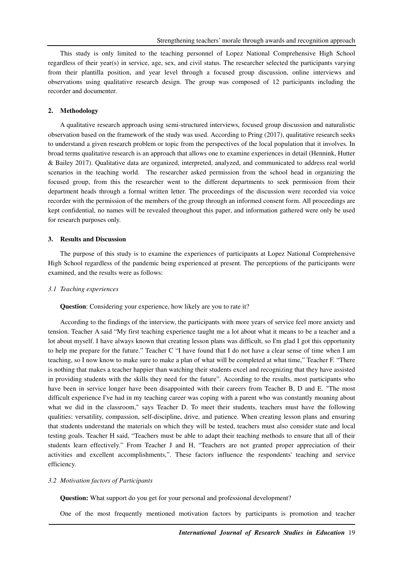This study is only limited to the teaching personnel of Lopez National Comprehensive High School regardless of their year(s) in service, age, sex, and civil status. The researcher selected the participants varying from their plantilla position, and year level through a focused group discussion, online interviews and observations using qualitative research design. The group was composed of 12 participants including the recorder and documenter.

# **2. Methodology**

A qualitative research approach using semi-structured interviews, focused group discussion and naturalistic observation based on the framework of the study was used. According to Pring (2017), qualitative research seeks to understand a given research problem or topic from the perspectives of the local population that it involves. In broad terms qualitative research is an approach that allows one to examine experiences in detail (Hennink, Hutter & Bailey 2017). Qualitative data are organized, interpreted, analyzed, and communicated to address real world scenarios in the teaching world. The researcher asked permission from the school head in organizing the focused group, from this the researcher went to the different departments to seek permission from their department heads through a formal written letter. The proceedings of the discussion were recorded via voice recorder with the permission of the members of the group through an informed consent form. All proceedings are kept confidential, no names will be revealed throughout this paper, and information gathered were only be used for research purposes only.

### **3. Results and Discussion**

The purpose of this study is to examine the experiences of participants at Lopez National Comprehensive High School regardless of the pandemic being experienced at present. The perceptions of the participants were examined, and the results were as follows:

# *3.1 Teaching experiences*

**Question**: Considering your experience, how likely are you to rate it?

According to the findings of the interview, the participants with more years of service feel more anxiety and tension. Teacher A said "My first teaching experience taught me a lot about what it means to be a teacher and a lot about myself. I have always known that creating lesson plans was difficult, so I'm glad I got this opportunity to help me prepare for the future." Teacher C "I have found that I do not have a clear sense of time when I am teaching, so I now know to make sure to make a plan of what will be completed at what time," Teacher F. "There is nothing that makes a teacher happier than watching their students excel and recognizing that they have assisted in providing students with the skills they need for the future". According to the results, most participants who have been in service longer have been disappointed with their careers from Teacher B, D and E. "The most difficult experience I've had in my teaching career was coping with a parent who was constantly moaning about what we did in the classroom," says Teacher D. To meet their students, teachers must have the following qualities: versatility, compassion, self-discipline, drive, and patience. When creating lesson plans and ensuring that students understand the materials on which they will be tested, teachers must also consider state and local testing goals. Teacher H said, "Teachers must be able to adapt their teaching methods to ensure that all of their students learn effectively." From Teacher J and H, "Teachers are not granted proper appreciation of their activities and excellent accomplishments,". These factors influence the respondents' teaching and service efficiency.

# *3.2 Motivation factors of Participants*

**Question:** What support do you get for your personal and professional development?

One of the most frequently mentioned motivation factors by participants is promotion and teacher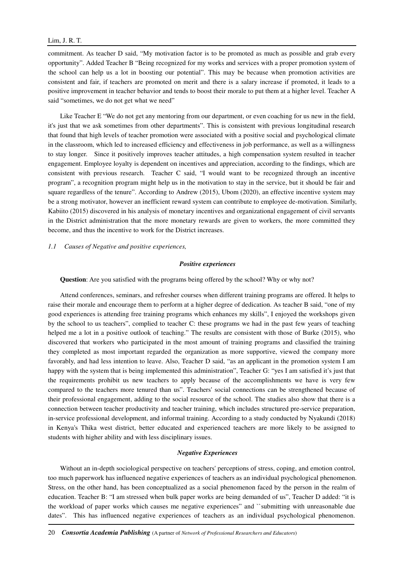#### Lim, J. R. T.

commitment. As teacher D said, "My motivation factor is to be promoted as much as possible and grab every opportunity". Added Teacher B "Being recognized for my works and services with a proper promotion system of the school can help us a lot in boosting our potential". This may be because when promotion activities are consistent and fair, if teachers are promoted on merit and there is a salary increase if promoted, it leads to a positive improvement in teacher behavior and tends to boost their morale to put them at a higher level. Teacher A said "sometimes, we do not get what we need"

Like Teacher E "We do not get any mentoring from our department, or even coaching for us new in the field, it's just that we ask sometimes from other departments". This is consistent with previous longitudinal research that found that high levels of teacher promotion were associated with a positive social and psychological climate in the classroom, which led to increased efficiency and effectiveness in job performance, as well as a willingness to stay longer. Since it positively improves teacher attitudes, a high compensation system resulted in teacher engagement. Employee loyalty is dependent on incentives and appreciation, according to the findings, which are consistent with previous research. Teacher C said, "I would want to be recognized through an incentive program", a recognition program might help us in the motivation to stay in the service, but it should be fair and square regardless of the tenure". According to Andrew (2015), Ubom (2020), an effective incentive system may be a strong motivator, however an inefficient reward system can contribute to employee de-motivation. Similarly, Kabiito (2015) discovered in his analysis of monetary incentives and organizational engagement of civil servants in the District administration that the more monetary rewards are given to workers, the more committed they become, and thus the incentive to work for the District increases.

#### *1.1 Causes of Negative and positive experiences,*

#### *Positive experiences*

**Question**: Are you satisfied with the programs being offered by the school? Why or why not?

Attend conferences, seminars, and refresher courses when different training programs are offered. It helps to raise their morale and encourage them to perform at a higher degree of dedication. As teacher B said, "one of my good experiences is attending free training programs which enhances my skills", I enjoyed the workshops given by the school to us teachers", complied to teacher C: these programs we had in the past few years of teaching helped me a lot in a positive outlook of teaching." The results are consistent with those of Burke (2015), who discovered that workers who participated in the most amount of training programs and classified the training they completed as most important regarded the organization as more supportive, viewed the company more favorably, and had less intention to leave. Also, Teacher D said, "as an applicant in the promotion system I am happy with the system that is being implemented this administration", Teacher G: "yes I am satisfied it's just that the requirements prohibit us new teachers to apply because of the accomplishments we have is very few compared to the teachers more tenured than us". Teachers' social connections can be strengthened because of their professional engagement, adding to the social resource of the school. The studies also show that there is a connection between teacher productivity and teacher training, which includes structured pre-service preparation, in-service professional development, and informal training. According to a study conducted by Nyakundi (2018) in Kenya's Thika west district, better educated and experienced teachers are more likely to be assigned to students with higher ability and with less disciplinary issues.

### *Negative Experiences*

Without an in-depth sociological perspective on teachers' perceptions of stress, coping, and emotion control, too much paperwork has influenced negative experiences of teachers as an individual psychological phenomenon. Stress, on the other hand, has been conceptualized as a social phenomenon faced by the person in the realm of education. Teacher B: "I am stressed when bulk paper works are being demanded of us", Teacher D added: "it is the workload of paper works which causes me negative experiences" and ``submitting with unreasonable due dates". This has influenced negative experiences of teachers as an individual psychological phenomenon.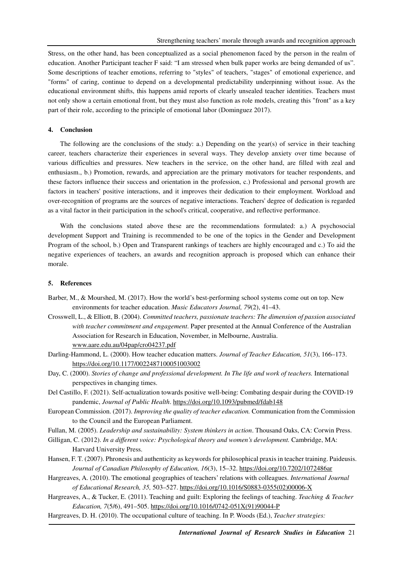Stress, on the other hand, has been conceptualized as a social phenomenon faced by the person in the realm of education. Another Participant teacher F said: "I am stressed when bulk paper works are being demanded of us". Some descriptions of teacher emotions, referring to "styles" of teachers, "stages" of emotional experience, and "forms" of caring, continue to depend on a developmental predictability underpinning without issue. As the educational environment shifts, this happens amid reports of clearly unsealed teacher identities. Teachers must not only show a certain emotional front, but they must also function as role models, creating this "front" as a key part of their role, according to the principle of emotional labor (Dominguez 2017).

# **4. Conclusion**

The following are the conclusions of the study: a.) Depending on the year(s) of service in their teaching career, teachers characterize their experiences in several ways. They develop anxiety over time because of various difficulties and pressures. New teachers in the service, on the other hand, are filled with zeal and enthusiasm., b.) Promotion, rewards, and appreciation are the primary motivators for teacher respondents, and these factors influence their success and orientation in the profession, c.) Professional and personal growth are factors in teachers' positive interactions, and it improves their dedication to their employment. Workload and over-recognition of programs are the sources of negative interactions. Teachers' degree of dedication is regarded as a vital factor in their participation in the school's critical, cooperative, and reflective performance.

With the conclusions stated above these are the recommendations formulated: a.) A psychosocial development Support and Training is recommended to be one of the topics in the Gender and Development Program of the school, b.) Open and Transparent rankings of teachers are highly encouraged and c.) To aid the negative experiences of teachers, an awards and recognition approach is proposed which can enhance their morale.

#### **5. References**

- Barber, M., & Mourshed, M. (2017). How the world's best-performing school systems come out on top. New environments for teacher education. *Music Educators Journal, 79*(2), 41–43.
- Crosswell, L., & Elliott, B. (2004). *Committed teachers, passionate teachers: The dimension of passion associated with teacher commitment and engagement*. Paper presented at the Annual Conference of the Australian Association for Research in Education, November, in Melbourne, Australia. www.aare.edu.au/04pap/cro04237.pdf
- Darling-Hammond, L. (2000). How teacher education matters. *Journal of Teacher Education, 51*(3), 166–173. https://doi.org/10.1177/0022487100051003002
- Day, C. (2000). *Stories of change and professional development. In The life and work of teachers.* International perspectives in changing times.
- Del Castillo, F. (2021). Self-actualization towards positive well-being: Combating despair during the COVID-19 pandemic, *Journal of Public Health*. https://doi.org/10.1093/pubmed/fdab148
- European Commission. (2017). *Improving the quality of teacher education.* Communication from the Commission to the Council and the European Parliament.
- Fullan, M. (2005). *Leadership and sustainability: System thinkers in action*. Thousand Oaks, CA: Corwin Press.
- Gilligan, C. (2012). *In a different voice: Psychological theory and women's development.* Cambridge, MA: Harvard University Press.
- Hansen, F. T. (2007). Phronesis and authenticity as keywords for philosophical praxis in teacher training. Paideusis. *Journal of Canadian Philosophy of Education, 16*(3), 15–32. https://doi.org/10.7202/1072486ar
- Hargreaves, A. (2010). The emotional geographies of teachers' relations with colleagues. *International Journal of Educational Research, 35,* 503–527. https://doi.org/10.1016/S0883-0355(02)00006-X
- Hargreaves, A., & Tucker, E. (2011). Teaching and guilt: Exploring the feelings of teaching. *Teaching & Teacher Education, 7*(5/6), 491–505. https://doi.org/10.1016/0742-051X(91)90044-P
- Hargreaves, D. H. (2010). The occupational culture of teaching. In P. Woods (Ed.), *Teacher strategies:*